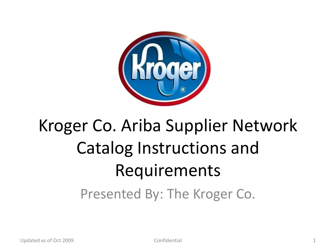

#### Kroger Co. Ariba Supplier Network Catalog Instructions and Requirements Presented By: The Kroger Co.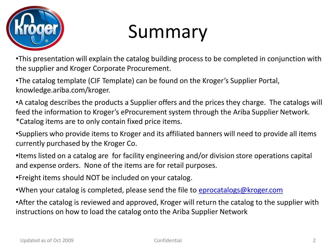

### Summary

•This presentation will explain the catalog building process to be completed in conjunction with the supplier and Kroger Corporate Procurement.

•The catalog template (CIF Template) can be found on the Kroger's Supplier Portal, knowledge.ariba.com/kroger.

•A catalog describes the products a Supplier offers and the prices they charge. The catalogs will feed the information to Kroger's eProcurement system through the Ariba Supplier Network. \*Catalog items are to only contain fixed price items.

- •Suppliers who provide items to Kroger and its affiliated banners will need to provide all items currently purchased by the Kroger Co.
- •Items listed on a catalog are for facility engineering and/or division store operations capital and expense orders. None of the items are for retail purposes.
- •Freight items should NOT be included on your catalog.
- •When your catalog is completed, please send the file to [eprocatalogs@kroger.com](mailto:eprocatalogs@kroger.com)

•After the catalog is reviewed and approved, Kroger will return the catalog to the supplier with instructions on how to load the catalog onto the Ariba Supplier Network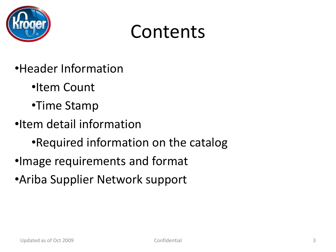

#### Contents

- •Header Information
	- •Item Count
	- •Time Stamp
- •Item detail information
	- •Required information on the catalog
- •Image requirements and format
- •Ariba Supplier Network support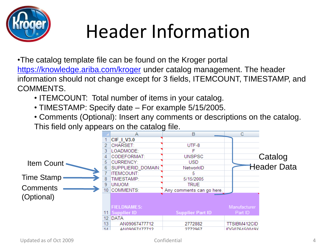

# Header Information

•The catalog template file can be found on the Kroger portal <https://knowledge.ariba.com/kroger> under catalog management. The header information should not change except for 3 fields, ITEMCOUNT, TIMESTAMP, and COMMENTS.

- ITEMCOUNT: Total number of items in your catalog.
- TIMESTAMP: Specify date For example 5/15/2005.
- Comments (Optional): Insert any comments or descriptions on the catalog. This field only appears on the catalog file.

|                   |    | Α                  | в                         | C.            |                    |
|-------------------|----|--------------------|---------------------------|---------------|--------------------|
|                   |    | CIF 1 V3.0         |                           |               |                    |
|                   |    | <b>CHARSET:</b>    | UTF-8                     |               |                    |
|                   |    | LOADMODE:          |                           |               |                    |
|                   |    | CODEFORMAT:        | <b>UNSPSC</b>             |               | Catalog            |
| Item Count -      |    | <b>CURRENCY:</b>   | <b>USD</b>                |               |                    |
|                   |    | SUPPLIERID DOMAIN: | NetworkID                 |               | <b>Header Data</b> |
|                   |    | <b>ITEMCOUNT:</b>  | 5                         |               |                    |
| <b>Time Stamp</b> |    | TIMESTAMP:         | 5/15/2005                 |               |                    |
| <b>Comments</b>   | 9. | UNUOM:             | <b>TRUE</b>               |               |                    |
|                   | 10 | <b>COMMENTS:</b>   | Any comments can go here. |               |                    |
| (Optional)        |    |                    |                           |               |                    |
|                   |    | <b>FIELDNAMES:</b> |                           | Manufacturer  |                    |
|                   |    | 11 Supplier ID     | <b>Supplier Part ID</b>   | Part ID       |                    |
|                   |    | 12 DATA            |                           |               |                    |
|                   | 13 | AN09067477712      | 2772882                   | TTSIBM412CID  |                    |
|                   | 1A | AN09067477712      | 2772967                   | IDG076450049X |                    |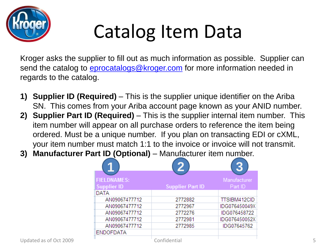

# Catalog Item Data

Kroger asks the supplier to fill out as much information as possible. Supplier can send the catalog to *[eprocatalogs@kroger.com](mailto:eprocatalogs@kroger.com)* for more information needed in regards to the catalog.

- **1) Supplier ID (Required)**  This is the supplier unique identifier on the Ariba SN. This comes from your Ariba account page known as your ANID number.
- **2) Supplier Part ID (Required)**  This is the supplier internal item number. This item number will appear on all purchase orders to reference the item being ordered. Must be a unique number. If you plan on transacting EDI or cXML, your item number must match 1:1 to the invoice or invoice will not transmit.
- **3) Manufacturer Part ID (Optional)**  Manufacturer item number.

|                        | и                  | $\overline{\mathbf{2}}$ | 2             |
|------------------------|--------------------|-------------------------|---------------|
|                        |                    |                         |               |
|                        | <b>FIELDNAMES:</b> |                         | Manufacturer  |
|                        | Supplier ID        | <b>Supplier Part ID</b> | Part ID       |
|                        | DATA               |                         |               |
|                        | AN09067477712      | 2772882                 | TTSIBM412CID  |
|                        | AN09067477712      | 2772967                 | IDG076450049X |
|                        | AN09067477712      | 2772276                 | IDG076458722  |
|                        | AN09067477712      | 2772981                 | IDG076450052X |
|                        | AN09067477712      | 2772985                 | IDG07645762   |
|                        | <b>ENDOFDATA</b>   |                         |               |
| Updated as of Oct 2009 |                    | Confidential            |               |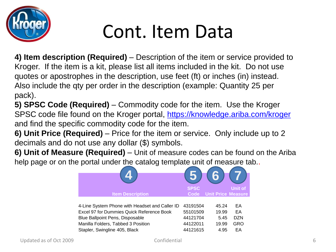

## Cont. Item Data

**4) Item description (Required)** – Description of the item or service provided to Kroger. If the item is a kit, please list all items included in the kit. Do not use quotes or apostrophes in the description, use feet (ft) or inches (in) instead. Also include the qty per order in the description (example: Quantity 25 per pack).

**5) SPSC Code (Required)** – Commodity code for the item. Use the Kroger SPSC code file found on the Kroger portal,<https://knowledge.ariba.com/kroger> and find the specific commodity code for the item.

**6) Unit Price (Required)** – Price for the item or service. Only include up to 2 decimals and do not use any dollar (\$) symbols.

**6) Unit of Measure (Required)** – Unit of measure codes can be found on the Ariba help page or on the portal under the catalog template unit of measure tab..

|                                                  | <b>SPSC</b> |                           | <b>Unit of</b> |  |
|--------------------------------------------------|-------------|---------------------------|----------------|--|
| <b>Item Description</b>                          | Code        | <b>Unit Price Measure</b> |                |  |
| 4-Line System Phone with Headset and Caller ID   | 43191504    | 45.24                     | EА             |  |
| <b>Excel 97 for Dummies Quick Reference Book</b> | 55101509    | 19.99                     | EA             |  |
| <b>Blue Ballpoint Pens, Disposable</b>           | 44121704    | 5.45                      | <b>DZN</b>     |  |
| Manilla Folders, Tabbed 3 Position               | 44122011    | 19.99                     | GRO            |  |
| Stapler, Swingline 405, Black                    | 44121615    | 4.95                      | EA             |  |
|                                                  |             |                           |                |  |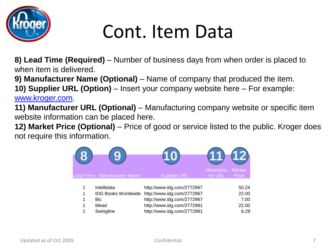

## Cont. Item Data

**8) Lead Time (Required)** – Number of business days from when order is placed to when item is delivered.

**9) Manufacturer Name (Optional)** – Name of company that produced the item.

**10) Supplier URL (Option)** – Insert your company website here – For example: [www.kroger.com](http://www.kroger.com/).

**11) Manufacturer URL (Optional)** – Manufacturing company website or specific item website information can be placed here.

**12) Market Price (Optional)** – Price of good or service listed to the public. Kroger does not require this information.

|   |                             |                            | Manufactu | (12)                          |
|---|-----------------------------|----------------------------|-----------|-------------------------------|
|   | Lead Time Manufacturer Name | <b>Supplier URL</b>        | rer URL   | <b>Market</b><br><b>Price</b> |
| 1 | Intellidata                 | http://www.idg.com/2772967 |           | 50.24                         |
| 1 | <b>IDG Books Worldwide</b>  | http://www.idg.com/2772967 |           | 22.00                         |
| 1 | <b>Bic</b>                  | http://www.idg.com/2772967 |           | 7.00                          |
| 1 | Mead                        | http://www.idg.com/2772981 |           | 22.00                         |
| 1 | Swingline                   | http://www.idg.com/2772981 |           | 6.29                          |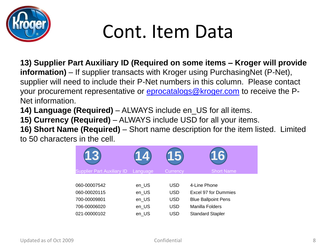

### Cont. Item Data

**13) Supplier Part Auxiliary ID (Required on some items – Kroger will provide information)** – If supplier transacts with Kroger using PurchasingNet (P-Net), supplier will need to include their P-Net numbers in this column. Please contact your procurement representative or **[eprocatalogs@kroger.com](mailto:eprocatalogs@kroger.com)** to receive the P-Net information.

**14) Language (Required)** – ALWAYS include en\_US for all items.

**15) Currency (Required)** – ALWAYS include USD for all your items.

**16) Short Name (Required)** – Short name description for the item listed. Limited to 50 characters in the cell.

|                                   |          |            | 6                          |
|-----------------------------------|----------|------------|----------------------------|
| <b>Supplier Part Auxiliary ID</b> | Language | Currency   | <b>Short Name</b>          |
|                                   |          |            |                            |
| 060-00007542                      | en_US    | <b>USD</b> | 4-Line Phone               |
| 060-00020115                      | en_US    | USD        | Excel 97 for Dummies       |
| 700-00009801                      | en_US    | <b>USD</b> | <b>Blue Ballpoint Pens</b> |
| 706-00006020                      | en_US    | <b>USD</b> | Manilla Folders            |
| 021-00000102                      | en_US    | USD        | <b>Standard Stapler</b>    |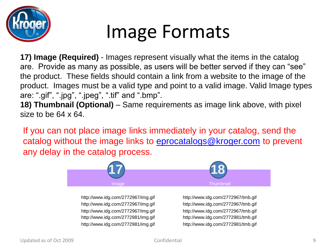

### Image Formats

**17) Image (Required)** - Images represent visually what the items in the catalog are. Provide as many as possible, as users will be better served if they can "see" the product. These fields should contain a link from a website to the image of the product. Images must be a valid type and point to a valid image. Valid Image types are: ".gif", ".jpg", ".jpeg", ".tif" and ".bmp".

**18) Thumbnail (Optional)** – Same requirements as image link above, with pixel size to be 64 x 64.

If you can not place image links immediately in your catalog, send the catalog without the image links to [eprocatalogs@kroger.com](mailto:eprocatalogs@kroger.com) to prevent any delay in the catalog process.



http://www.idg.com/2772967/img.gif http://www.idg.com/2772967/tmb.gif http://www.idg.com/2772967/img.gif http://www.idg.com/2772967/tmb.gif http://www.idg.com/2772967/img.gif http://www.idg.com/2772967/tmb.gif http://www.idg.com/2772981/img.gif http://www.idg.com/2772981/tmb.gif http://www.idg.com/2772981/img.gif http://www.idg.com/2772981/tmb.gif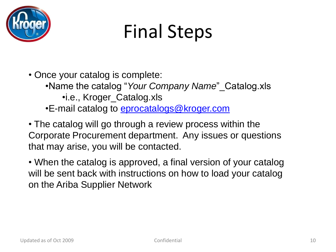

# Final Steps

• Once your catalog is complete: •Name the catalog "*Your Company Name*"\_Catalog.xls •i.e., Kroger\_Catalog.xls •E-mail catalog to *eprocatalogs@kroger.com* 

• The catalog will go through a review process within the Corporate Procurement department. Any issues or questions that may arise, you will be contacted.

• When the catalog is approved, a final version of your catalog will be sent back with instructions on how to load your catalog on the Ariba Supplier Network